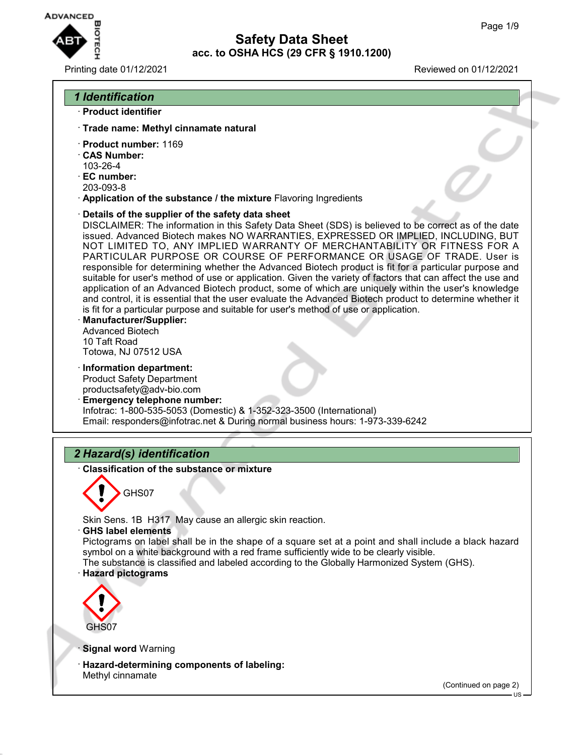

#### Printing date 01/12/2021 Reviewed on 01/12/2021



- · **Trade name: Methyl cinnamate natural**
- · **Product number:** 1169
- · **CAS Number:** 103-26-4
- · **EC number:**
- 203-093-8
- · **Application of the substance / the mixture** Flavoring Ingredients
- · **Details of the supplier of the safety data sheet**

DISCLAIMER: The information in this Safety Data Sheet (SDS) is believed to be correct as of the date issued. Advanced Biotech makes NO WARRANTIES, EXPRESSED OR IMPLIED, INCLUDING, BUT NOT LIMITED TO, ANY IMPLIED WARRANTY OF MERCHANTABILITY OR FITNESS FOR A PARTICULAR PURPOSE OR COURSE OF PERFORMANCE OR USAGE OF TRADE. User is responsible for determining whether the Advanced Biotech product is fit for a particular purpose and suitable for user's method of use or application. Given the variety of factors that can affect the use and application of an Advanced Biotech product, some of which are uniquely within the user's knowledge and control, it is essential that the user evaluate the Advanced Biotech product to determine whether it is fit for a particular purpose and suitable for user's method of use or application.

- · **Manufacturer/Supplier:** Advanced Biotech 10 Taft Road Totowa, NJ 07512 USA
- · **Information department:** Product Safety Department productsafety@adv-bio.com
- · **Emergency telephone number:** Infotrac: 1-800-535-5053 (Domestic) & 1-352-323-3500 (International) Email: responders@infotrac.net & During normal business hours: 1-973-339-6242

## *2 Hazard(s) identification*

· **Classification of the substance or mixture**



Skin Sens. 1B H317 May cause an allergic skin reaction.

· **GHS label elements**

Pictograms on label shall be in the shape of a square set at a point and shall include a black hazard symbol on a white background with a red frame sufficiently wide to be clearly visible.

The substance is classified and labeled according to the Globally Harmonized System (GHS). · **Hazard pictograms**



**Signal word Warning** 

· **Hazard-determining components of labeling:** Methyl cinnamate

(Continued on page 2)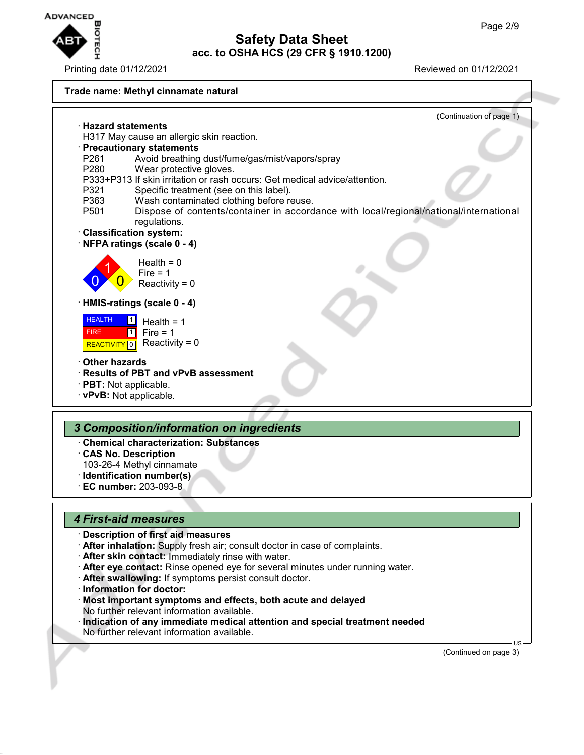

Printing date 01/12/2021 Reviewed on 01/12/2021



**Safety Data Sheet acc. to OSHA HCS (29 CFR § 1910.1200)**

### *4 First-aid measures*

### · **Description of first aid measures**

- · **After inhalation:** Supply fresh air; consult doctor in case of complaints.
- · **After skin contact:** Immediately rinse with water.
- · **After eye contact:** Rinse opened eye for several minutes under running water.
- · **After swallowing:** If symptoms persist consult doctor.
- · **Information for doctor:**
- · **Most important symptoms and effects, both acute and delayed** No further relevant information available.
- · **Indication of any immediate medical attention and special treatment needed** No further relevant information available.

(Continued on page 3)

US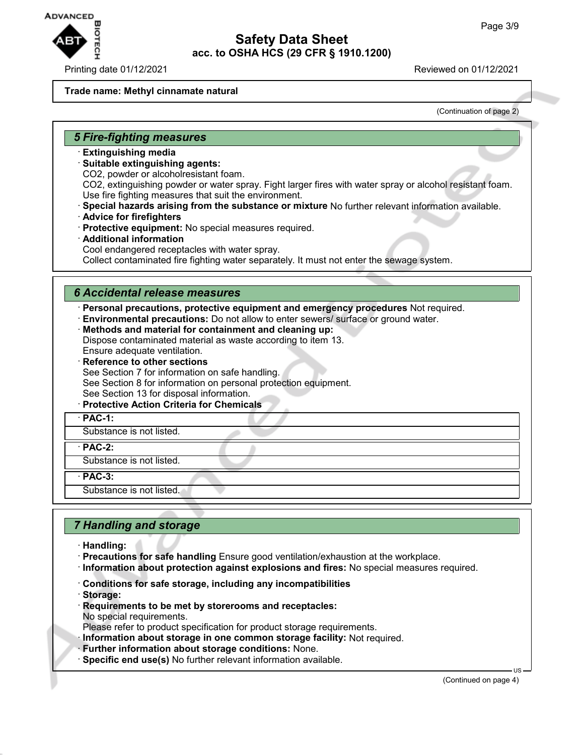

#### **Trade name: Methyl cinnamate natural**

(Continuation of page 2)

#### *5 Fire-fighting measures*

- · **Extinguishing media**
- · **Suitable extinguishing agents:**
- CO2, powder or alcoholresistant foam.

CO2, extinguishing powder or water spray. Fight larger fires with water spray or alcohol resistant foam. Use fire fighting measures that suit the environment.

- · **Special hazards arising from the substance or mixture** No further relevant information available.
- · **Advice for firefighters**
- · **Protective equipment:** No special measures required.
- · **Additional information** Cool endangered receptacles with water spray. Collect contaminated fire fighting water separately. It must not enter the sewage system.

#### *6 Accidental release measures*

· **Personal precautions, protective equipment and emergency procedures** Not required.

- · **Environmental precautions:** Do not allow to enter sewers/ surface or ground water.
- · **Methods and material for containment and cleaning up:** Dispose contaminated material as waste according to item 13.
- Ensure adequate ventilation.
- **Reference to other sections**

See Section 7 for information on safe handling.

See Section 8 for information on personal protection equipment.

- See Section 13 for disposal information.
- · **Protective Action Criteria for Chemicals**
- · **PAC-1:**

Substance is not listed.

· **PAC-2:**

Substance is not listed.

· **PAC-3:**

Substance is not listed.

## *7 Handling and storage*

- · **Handling:**
- · **Precautions for safe handling** Ensure good ventilation/exhaustion at the workplace.
- · **Information about protection against explosions and fires:** No special measures required.
- · **Conditions for safe storage, including any incompatibilities**
- · **Storage:**
- · **Requirements to be met by storerooms and receptacles:** No special requirements.

Please refer to product specification for product storage requirements.

· **Information about storage in one common storage facility:** Not required.

- · **Further information about storage conditions:** None.
- · **Specific end use(s)** No further relevant information available.

(Continued on page 4)

US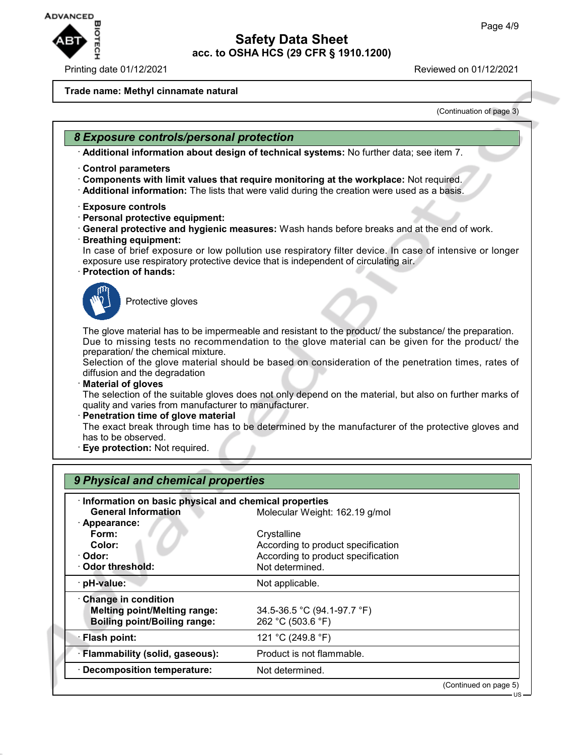US



## **Safety Data Sheet acc. to OSHA HCS (29 CFR § 1910.1200)**

#### **Trade name: Methyl cinnamate natural**

(Continuation of page 3)

### *8 Exposure controls/personal protection*

· **Additional information about design of technical systems:** No further data; see item 7.

- · **Control parameters**
- · **Components with limit values that require monitoring at the workplace:** Not required.
- · **Additional information:** The lists that were valid during the creation were used as a basis.
- · **Exposure controls**
- · **Personal protective equipment:**
- · **General protective and hygienic measures:** Wash hands before breaks and at the end of work. · **Breathing equipment:**
- In case of brief exposure or low pollution use respiratory filter device. In case of intensive or longer exposure use respiratory protective device that is independent of circulating air.
- · **Protection of hands:**



Protective gloves

The glove material has to be impermeable and resistant to the product/ the substance/ the preparation. Due to missing tests no recommendation to the glove material can be given for the product/ the preparation/ the chemical mixture.

Selection of the glove material should be based on consideration of the penetration times, rates of diffusion and the degradation

· **Material of gloves**

The selection of the suitable gloves does not only depend on the material, but also on further marks of quality and varies from manufacturer to manufacturer.

· **Penetration time of glove material**

The exact break through time has to be determined by the manufacturer of the protective gloves and has to be observed.

· **Eye protection:** Not required.

| 9 Physical and chemical properties                    |                                    |  |  |  |
|-------------------------------------------------------|------------------------------------|--|--|--|
| Information on basic physical and chemical properties |                                    |  |  |  |
| <b>General Information</b>                            | Molecular Weight: 162.19 g/mol     |  |  |  |
| · Appearance:                                         |                                    |  |  |  |
| Form:                                                 | Crystalline                        |  |  |  |
| Color:                                                | According to product specification |  |  |  |
| · Odor:                                               | According to product specification |  |  |  |
| Odor threshold:                                       | Not determined.                    |  |  |  |
| · pH-value:                                           | Not applicable.                    |  |  |  |
| Change in condition                                   |                                    |  |  |  |
| <b>Melting point/Melting range:</b>                   | 34.5-36.5 °C (94.1-97.7 °F)        |  |  |  |
| <b>Boiling point/Boiling range:</b>                   | 262 °C (503.6 °F)                  |  |  |  |
| · Flash point:                                        | 121 °C (249.8 °F)                  |  |  |  |
| · Flammability (solid, gaseous):                      | Product is not flammable.          |  |  |  |
| · Decomposition temperature:                          | Not determined.                    |  |  |  |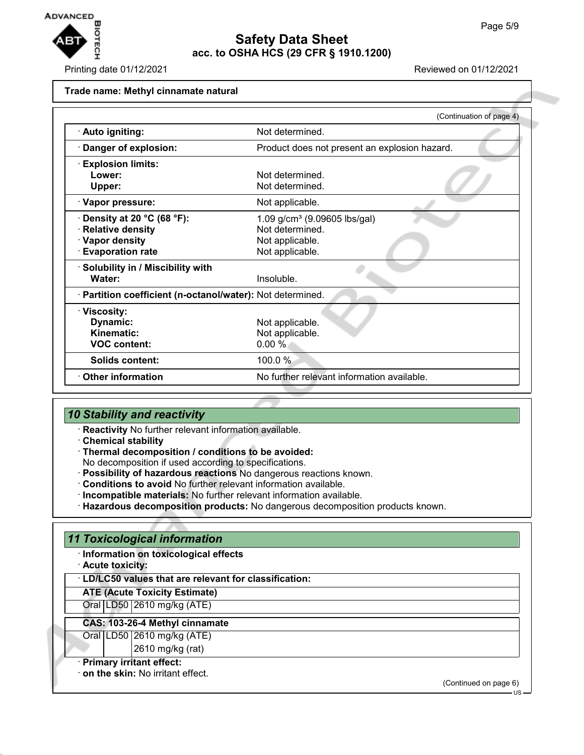

Printing date 01/12/2021 Reviewed on 01/12/2021

#### **Trade name: Methyl cinnamate natural**

|                                                            | (Continuation of page 4)                      |
|------------------------------------------------------------|-----------------------------------------------|
| · Auto igniting:                                           | Not determined.                               |
| Danger of explosion:                                       | Product does not present an explosion hazard. |
| · Explosion limits:                                        |                                               |
| Lower:                                                     | Not determined.                               |
| Upper:                                                     | Not determined.                               |
| · Vapor pressure:                                          | Not applicable.                               |
| Density at 20 $^{\circ}$ C (68 $^{\circ}$ F):              | 1.09 $g/cm^3$ (9.09605 lbs/gal)               |
| <b>Relative density</b>                                    | Not determined.                               |
| · Vapor density                                            | Not applicable.                               |
| <b>Evaporation rate</b>                                    | Not applicable.                               |
| · Solubility in / Miscibility with                         |                                               |
| Water:                                                     | Insoluble.                                    |
| · Partition coefficient (n-octanol/water): Not determined. |                                               |
| · Viscosity:                                               |                                               |
| Dynamic:                                                   | Not applicable.                               |
| Kinematic:                                                 | Not applicable.                               |
| <b>VOC content:</b>                                        | 0.00%                                         |
| Solids content:                                            | 100.0 %                                       |
| <b>Other information</b>                                   | No further relevant information available.    |
|                                                            |                                               |

## *10 Stability and reactivity*

· **Reactivity** No further relevant information available.

- · **Chemical stability**
- · **Thermal decomposition / conditions to be avoided:**
- No decomposition if used according to specifications.
- · **Possibility of hazardous reactions** No dangerous reactions known.
- · **Conditions to avoid** No further relevant information available.
- · **Incompatible materials:** No further relevant information available.
- · **Hazardous decomposition products:** No dangerous decomposition products known.

## *11 Toxicological information*

- · **Information on toxicological effects**
- · **Acute toxicity:**

#### · **LD/LC50 values that are relevant for classification:**

**ATE (Acute Toxicity Estimate)**

Oral LD50 2610 mg/kg (ATE)

#### **CAS: 103-26-4 Methyl cinnamate**

Oral LD50 2610 mg/kg (ATE)

2610 mg/kg (rat)

## · **Primary irritant effect:**

· **on the skin:** No irritant effect.

(Continued on page 6)

US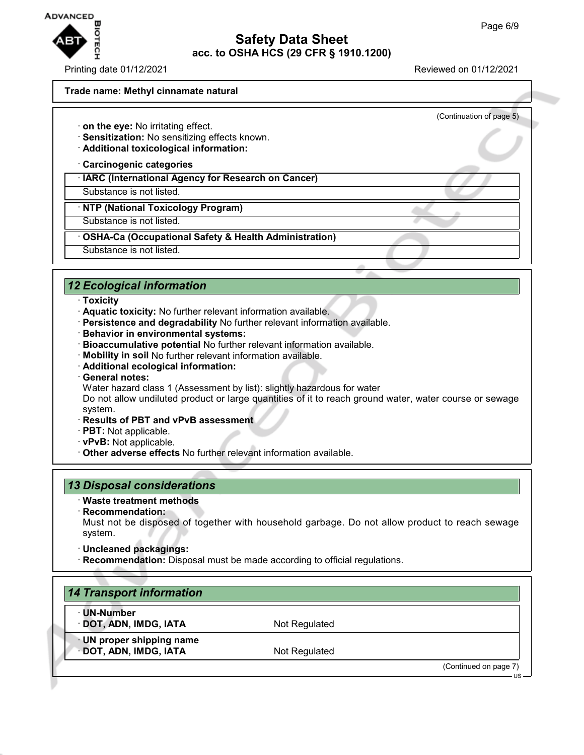

(Continuation of page 5)

#### **Trade name: Methyl cinnamate natural**

- · **on the eye:** No irritating effect.
- · **Sensitization:** No sensitizing effects known.
- · **Additional toxicological information:**

· **Carcinogenic categories**

· **IARC (International Agency for Research on Cancer)**

Substance is not listed.

· **NTP (National Toxicology Program)**

Substance is not listed.

· **OSHA-Ca (Occupational Safety & Health Administration)**

Substance is not listed.

## *12 Ecological information*

- · **Toxicity**
- · **Aquatic toxicity:** No further relevant information available.
- · **Persistence and degradability** No further relevant information available.
- · **Behavior in environmental systems:**
- · **Bioaccumulative potential** No further relevant information available.
- · **Mobility in soil** No further relevant information available.
- · **Additional ecological information:**
- · **General notes:**

Water hazard class 1 (Assessment by list): slightly hazardous for water

Do not allow undiluted product or large quantities of it to reach ground water, water course or sewage system.

- · **Results of PBT and vPvB assessment**
- · **PBT:** Not applicable.
- · **vPvB:** Not applicable.
- · **Other adverse effects** No further relevant information available.

## *13 Disposal considerations*

- · **Waste treatment methods**
- · **Recommendation:**

Must not be disposed of together with household garbage. Do not allow product to reach sewage system.

- · **Uncleaned packagings:**
- · **Recommendation:** Disposal must be made according to official regulations.

| Not Regulated |                       |
|---------------|-----------------------|
|               |                       |
|               | (Continued on page 7) |
|               | Not Regulated         |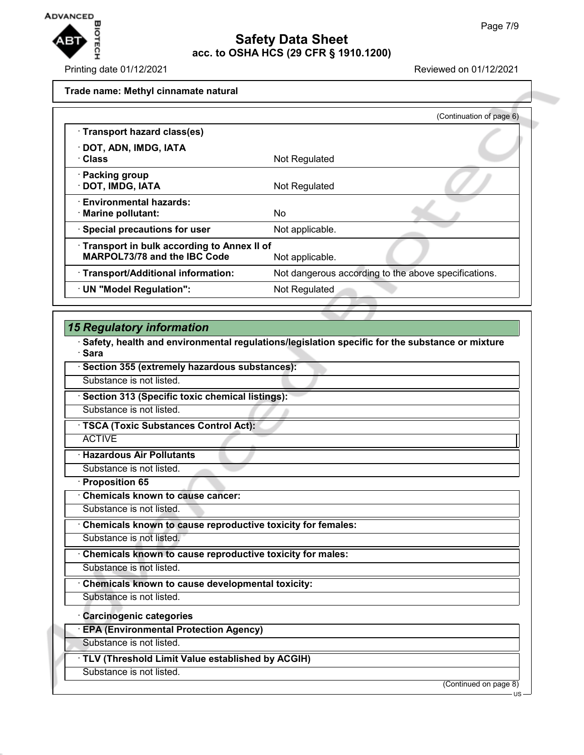

#### Printing date 01/12/2021 Reviewed on 01/12/2021

#### **Trade name: Methyl cinnamate natural**

|                                                                            | (Continuation of page 6)                             |
|----------------------------------------------------------------------------|------------------------------------------------------|
| · Transport hazard class(es)                                               |                                                      |
| · DOT, ADN, IMDG, IATA<br>· Class                                          | Not Regulated                                        |
| · Packing group<br>· DOT, IMDG, IATA                                       | Not Regulated                                        |
| <b>Environmental hazards:</b><br>· Marine pollutant:                       | No                                                   |
| · Special precautions for user                                             | Not applicable.                                      |
| Transport in bulk according to Annex II of<br>MARPOL73/78 and the IBC Code | Not applicable.                                      |
| · Transport/Additional information:                                        | Not dangerous according to the above specifications. |
| · UN "Model Regulation":                                                   | Not Regulated                                        |

## *15 Regulatory information*

· **Safety, health and environmental regulations/legislation specific for the substance or mixture** · **Sara**

| Substance is not listed. |  |
|--------------------------|--|

· **Section 313 (Specific toxic chemical listings):**

**Section 355 (extremely hazardous substances):** 

Substance is not listed.

· **TSCA (Toxic Substances Control Act):**

**ACTIVE** 

· **Hazardous Air Pollutants**

Substance is not listed.

· **Proposition 65**

· **Chemicals known to cause cancer:**

Substance is not listed.

· **Chemicals known to cause reproductive toxicity for females:**

Substance is not listed.

· **Chemicals known to cause reproductive toxicity for males:**

Substance is not listed.

· **Chemicals known to cause developmental toxicity:**

Substance is not listed.

· **Carcinogenic categories**

· **EPA (Environmental Protection Agency)**

Substance is not listed.

· **TLV (Threshold Limit Value established by ACGIH)**

Substance is not listed.

(Continued on page 8)

US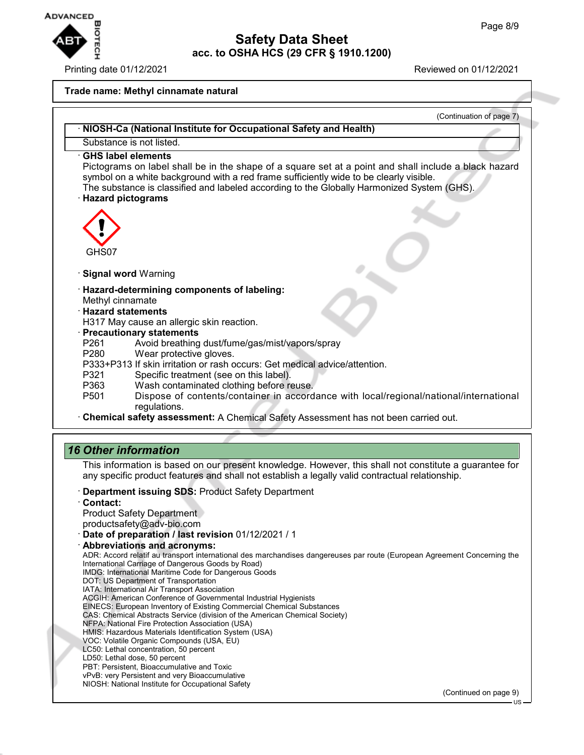

Printing date 01/12/2021 Reviewed on 01/12/2021

#### **Trade name: Methyl cinnamate natural**



· **Date of preparation / last revision** 01/12/2021 / 1

· **Abbreviations and acronyms:**

ADR: Accord relatif au transport international des marchandises dangereuses par route (European Agreement Concerning the International Carriage of Dangerous Goods by Road) IMDG: International Maritime Code for Dangerous Goods

- DOT: US Department of Transportation
- IATA: International Air Transport Association

ACGIH: American Conference of Governmental Industrial Hygienists

- EINECS: European Inventory of Existing Commercial Chemical Substances
- CAS: Chemical Abstracts Service (division of the American Chemical Society)
- NFPA: National Fire Protection Association (USA)
- HMIS: Hazardous Materials Identification System (USA)

VOC: Volatile Organic Compounds (USA, EU) LC50: Lethal concentration, 50 percent

- LD50: Lethal dose, 50 percent
- PBT: Persistent, Bioaccumulative and Toxic

vPvB: very Persistent and very Bioaccumulative

NIOSH: National Institute for Occupational Safety

(Continued on page 9)

US